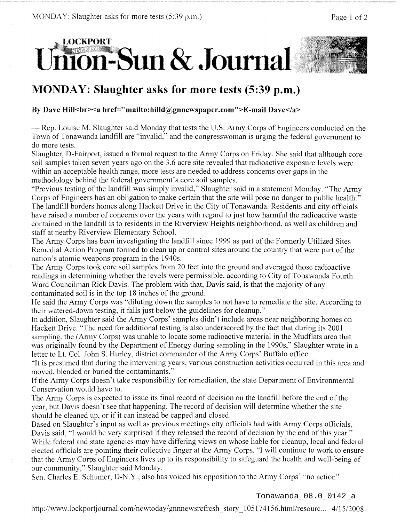

## **MONDAY: Slaughter asks for more tests (5:39 p.m.)**

## By Dave Hill<br >> **blace**</a> **blace**</a> **blace**</a> **blace**</a> **blace**</a> **blace**</a> **blace**</a> **blace**</a> **blace**

— Rep. Louise M. Slaughter said Monday that tests the U.S. Army Corps of Engineers conducted on the Town of Tonawanda landfill are "invalid," and the congresswoman is urging the federal government to do more tests.

Slaughter, D-Fairport, issued a formal request to the Army Corps on Friday. She said that although core soil samples taken seven years ago on the 3.6 acre site revealed that radioactive exposure levels were within an acceptable health range, more tests are needed to address concerns over gaps in the methodology behind the federal government's core soil samples.

"Previous testing of the landfill was simply invalid," Slaughter said in a statement Monday. "The Army Corps of Engineers has an obligation to make certain that the site will pose no danger to public health." The landfill borders homes along Hackett Drive in the City of Tonawanda. Residents and city officials have raised a number of concerns over the years with regard to just how harmful the radioactive waste contained in the landfill is to residents in the Riverview Heights neighborhood, as well as children and staff at nearby Riverview Elementary School.

The Army Corps has been investigating the landfill since 1999 as part of the Formerly Utilized Sites Remedial Action Program formed to clean up or control sites around the country that were part of the nation's atomic weapons program in the 1940s.

The Army Corps took core soil samples from 20 feet into the ground and averaged those radioactive readings in determining whether the levels were permissible, according to City of Tonawanda Fourth Ward Councilman Rick Davis. The problem with that, Davis said, is that the majority of any contaminated soil is in the top 18 inches of the ground.

He said the Army Corps was "diluting down the samples to not have to remediate the site. According to their watered-down testing, it falls just below the guidelines for cleanup."

In addition, Slaughter said the Army Corps' samples didn't include areas near neighboring homes on Hackett Drive. "The need for additional testing is also underscored by the fact that during its 2001 sampling, the (Army Corps) was unable to locate some radioactive material in the Mudflats area that was originally found by the Department of Energy during sampling in the 1990s," Slaughter wrote in a letter to Lt. Col. John S. Hurley, district commander of the Army Corps' Buffalo office.

"It is presumed that during the intervening years, various construction activities occurred in this area and moved, blended or buried the contaminants."

If the Army Corps doesn't take responsibility for remediation, the state Department of Environmental Conservation would have to.

The Army Corps is expected to issue its final record of decision on the landfill before the end of the year, but Davis doesn't see that happening. The record of decision will determine whether the site should be cleaned up, or if it can instead be capped and closed.

Based on Slaughter's input as well as previous meetings city officials had with Army Corps officials, Davis said, "I would be very surprised if they released the record of decision by the end of this year." While federal and state agencies may have differing views on whose liable for cleanup, local and federal elected officials are pointing their collective finger at the Army Corps. "I will continue to work to ensure that the Army Corps of Engineers lives up to its responsibility to safeguard the health and well-being of our community," Slaughter said Monday.

Sen. Charles E. Schumer, D-N.Y., also has voiced his opposition to the Army Corps' "no action"

Tonawanda\_08.0\_0142\_a

http://www.lockportjournal.com/newtoday/gnnnewsrefresh\_story 105174156.html/resourc... 4/15/2008